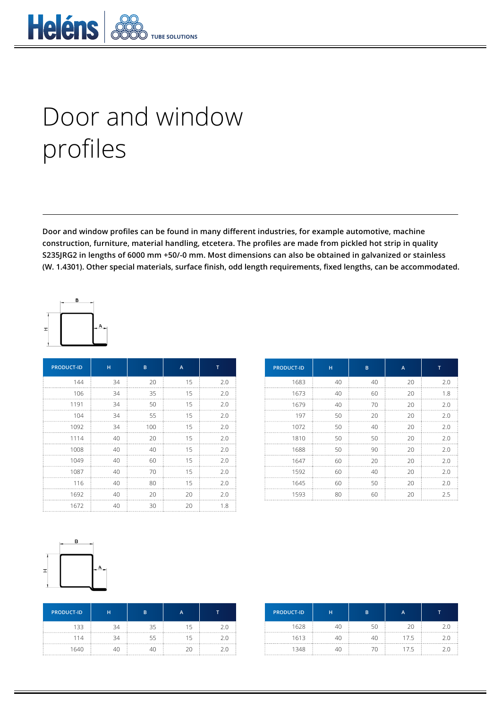

## Door and window profiles

**Door and window profiles can be found in many different industries, for example automotive, machine construction, furniture, material handling, etcetera. The profiles are made from pickled hot strip in quality S235JRG2 in lengths of 6000 mm +50/-0 mm. Most dimensions can also be obtained in galvanized or stainless (W. 1.4301). Other special materials, surface finish, odd length requirements, fixed lengths, can be accommodated.**



| <b>PRODUCT-ID</b> | н  | B   | A  | т   |
|-------------------|----|-----|----|-----|
| 144               | 34 | 20  | 15 | 2.0 |
| 106               | 34 | 35  | 15 | 2.0 |
| 1191              | 34 | 50  | 15 | 2.0 |
| 104               | 34 | 55  | 15 | 2.0 |
| 1092              | 34 | 100 | 15 | 2.0 |
| 1114              | 40 | 20  | 15 | 2.0 |
| 1008              | 40 | 40  | 15 | 2.0 |
| 1049              | 40 | 60  | 15 | 2.0 |
| 1087              | 40 | 70  | 15 | 2.0 |
| 116               | 40 | 80  | 15 | 2.0 |
| 1692              | 40 | 20  | 20 | 2.0 |
| 1672              | 40 | 30  | 20 | 1.8 |

| <b>PRODUCT-ID</b> | н  | B  | A  | т   |
|-------------------|----|----|----|-----|
| 1683              | 40 | 40 | 20 | 2.0 |
| 1673              | 40 | 60 | 20 | 1.8 |
| 1679              | 40 | 70 | 20 | 2.0 |
| 197               | 50 | 20 | 20 | 2.0 |
| 1072              | 50 | 40 | 20 | 2.0 |
| 1810              | 50 | 50 | 20 | 2.0 |
| 1688              | 50 | 90 | 20 | 2.0 |
| 1647              | 60 | 20 | 20 | 2.0 |
| 1592              | 60 | 40 | 20 | 2.0 |
| 1645              | 60 | 50 | 20 | 2.0 |
| 1593              | 80 | 60 | 20 | 2.5 |



| <b>PRODUCT-ID</b> | н  | B  |     |
|-------------------|----|----|-----|
| 133               | 34 | スロ |     |
| 114               | 34 | 55 | ' ( |
| 1640              |    |    |     |

| <b>PRODUCT-ID</b> | н | B |     |  |
|-------------------|---|---|-----|--|
| 1628              |   |   |     |  |
| 1613              |   |   | 7.5 |  |
| 1348              |   |   | 75  |  |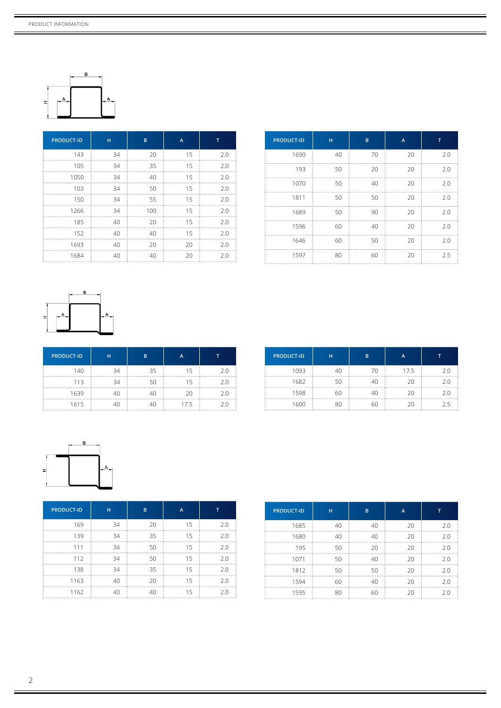

| <b>PRODUCT-ID</b> | н  | B   | A  | т   |
|-------------------|----|-----|----|-----|
| 143               | 34 | 20  | 15 | 2.0 |
| 105               | 34 | 35  | 15 | 2.0 |
| 1050              | 34 | 40  | 15 | 2.0 |
| 103               | 34 | 50  | 15 | 2.0 |
| 150               | 34 | 55  | 15 | 2.0 |
| 1266              | 34 | 100 | 15 | 2.0 |
| 185               | 40 | 20  | 15 | 2.0 |
| 152               | 40 | 40  | 15 | 2.0 |
| 1693              | 40 | 20  | 20 | 2.0 |
| 1684              | 40 | 40  | 20 | 2.0 |

| <b>PRODUCT-ID</b> | H  | B  | A  | т   |
|-------------------|----|----|----|-----|
| 1690              | 40 | 70 | 20 | 2.0 |
| 193               | 50 | 20 | 20 | 2.0 |
| 1070              | 50 | 40 | 20 | 2.0 |
| 1811              | 50 | 50 | 20 | 2.0 |
| 1689              | 50 | 90 | 20 | 2.0 |
| 1596              | 60 | 40 | 20 | 2.0 |
| 1646              | 60 | 50 | 20 | 2.0 |
| 1597              | 80 | 60 | 20 | 2.5 |



| <b>PRODUCT-ID</b> | н  | B   |       |     |
|-------------------|----|-----|-------|-----|
| 140               | RΑ | 35  | '' '∽ | ς Λ |
| 113               | 34 | 511 |       | 2 U |
| 1639              |    |     |       | 2 C |
| 1615              |    |     | 17.5  | 2 C |

| <b>PRODUCT-ID</b> | н  | B | А    |     |
|-------------------|----|---|------|-----|
| 1093              |    |   | 17.5 | ን በ |
| 1682              |    |   | 20   | 2 N |
| 1598              | 60 |   | 20   | 2 O |
| 1600              |    |   | 20   | ノト  |



| <b>PRODUCT-ID</b> | н  | B  | $\overline{A}$ |     |
|-------------------|----|----|----------------|-----|
| 169               | 34 | 20 | 15             | 2.0 |
| 139               | 34 | 35 | 15             | 2.0 |
| 111               | 34 | 50 | 15             | 2.0 |
| 112               | 34 | 50 | 15             | 2.0 |
| 138               | 34 | 35 | 15             | 2.0 |
| 1163              | 40 | 20 | 15             | 2.0 |
| 1162              | 40 | 40 | 15             | 2.0 |

| <b>PRODUCT-ID</b> | н  | B  | A  | т   |
|-------------------|----|----|----|-----|
| 1685              | 40 | 40 | 20 | 2.0 |
| 1680              | 40 | 40 | 20 | 2.0 |
| 195               | 50 | 20 | 20 | 2.0 |
| 1071              | 50 | 40 | 20 | 2.0 |
| 1812              | 50 | 50 | 20 | 2.0 |
| 1594              | 60 | 40 | 20 | 2.0 |
| 1595              | 80 | 60 | 20 | 2.0 |